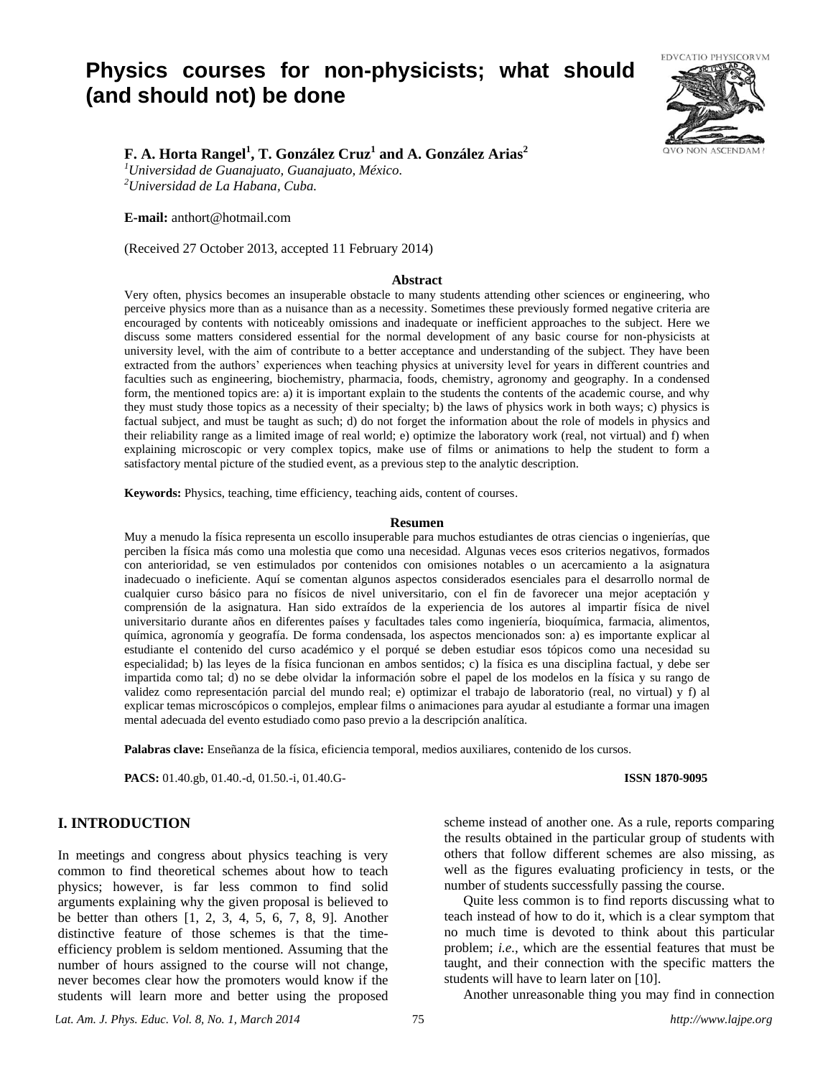# **Physics courses for non-physicists; what should (and should not) be done**



# **F. A. Horta Rangel<sup>1</sup> , T. González Cruz<sup>1</sup> and A. González Arias<sup>2</sup>**

*<sup>1</sup>Universidad de Guanajuato, Guanajuato, México. <sup>2</sup>Universidad de La Habana, Cuba.*

**E-mail:** anthort@hotmail.com

(Received 27 October 2013, accepted 11 February 2014)

#### **Abstract**

Very often, physics becomes an insuperable obstacle to many students attending other sciences or engineering, who perceive physics more than as a nuisance than as a necessity. Sometimes these previously formed negative criteria are encouraged by contents with noticeably omissions and inadequate or inefficient approaches to the subject. Here we discuss some matters considered essential for the normal development of any basic course for non-physicists at university level, with the aim of contribute to a better acceptance and understanding of the subject. They have been extracted from the authors' experiences when teaching physics at university level for years in different countries and faculties such as engineering, biochemistry, pharmacia, foods, chemistry, agronomy and geography. In a condensed form, the mentioned topics are: a) it is important explain to the students the contents of the academic course, and why they must study those topics as a necessity of their specialty; b) the laws of physics work in both ways; c) physics is factual subject, and must be taught as such; d) do not forget the information about the role of models in physics and their reliability range as a limited image of real world; e) optimize the laboratory work (real, not virtual) and f) when explaining microscopic or very complex topics, make use of films or animations to help the student to form a satisfactory mental picture of the studied event, as a previous step to the analytic description.

**Keywords:** Physics, teaching, time efficiency, teaching aids, content of courses.

#### **Resumen**

Muy a menudo la física representa un escollo insuperable para muchos estudiantes de otras ciencias o ingenierías, que perciben la física más como una molestia que como una necesidad. Algunas veces esos criterios negativos, formados con anterioridad, se ven estimulados por contenidos con omisiones notables o un acercamiento a la asignatura inadecuado o ineficiente. Aquí se comentan algunos aspectos considerados esenciales para el desarrollo normal de cualquier curso básico para no físicos de nivel universitario, con el fin de favorecer una mejor aceptación y comprensión de la asignatura. Han sido extraídos de la experiencia de los autores al impartir física de nivel universitario durante años en diferentes países y facultades tales como ingeniería, bioquímica, farmacia, alimentos, química, agronomía y geografía. De forma condensada, los aspectos mencionados son: a) es importante explicar al estudiante el contenido del curso académico y el porqué se deben estudiar esos tópicos como una necesidad su especialidad; b) las leyes de la física funcionan en ambos sentidos; c) la física es una disciplina factual, y debe ser impartida como tal; d) no se debe olvidar la información sobre el papel de los modelos en la física y su rango de validez como representación parcial del mundo real; e) optimizar el trabajo de laboratorio (real, no virtual) y f) al explicar temas microscópicos o complejos, emplear films o animaciones para ayudar al estudiante a formar una imagen mental adecuada del evento estudiado como paso previo a la descripción analítica.

**Palabras clave:** Enseñanza de la física, eficiencia temporal, medios auxiliares, contenido de los cursos.

**PACS:** 01.40.gb, 01.40.-d, 01.50.-i, 01.40.G- **ISSN 1870-9095**

## **I. INTRODUCTION**

In meetings and congress about physics teaching is very common to find theoretical schemes about how to teach physics; however, is far less common to find solid arguments explaining why the given proposal is believed to be better than others [1, 2, 3, 4, 5, 6, 7, 8, 9]. Another distinctive feature of those schemes is that the timeefficiency problem is seldom mentioned. Assuming that the number of hours assigned to the course will not change, never becomes clear how the promoters would know if the students will learn more and better using the proposed

scheme instead of another one. As a rule, reports comparing the results obtained in the particular group of students with others that follow different schemes are also missing, as well as the figures evaluating proficiency in tests, or the number of students successfully passing the course.

Quite less common is to find reports discussing what to teach instead of how to do it, which is a clear symptom that no much time is devoted to think about this particular problem; *i.e*., which are the essential features that must be taught, and their connection with the specific matters the students will have to learn later on [10].

Another unreasonable thing you may find in connection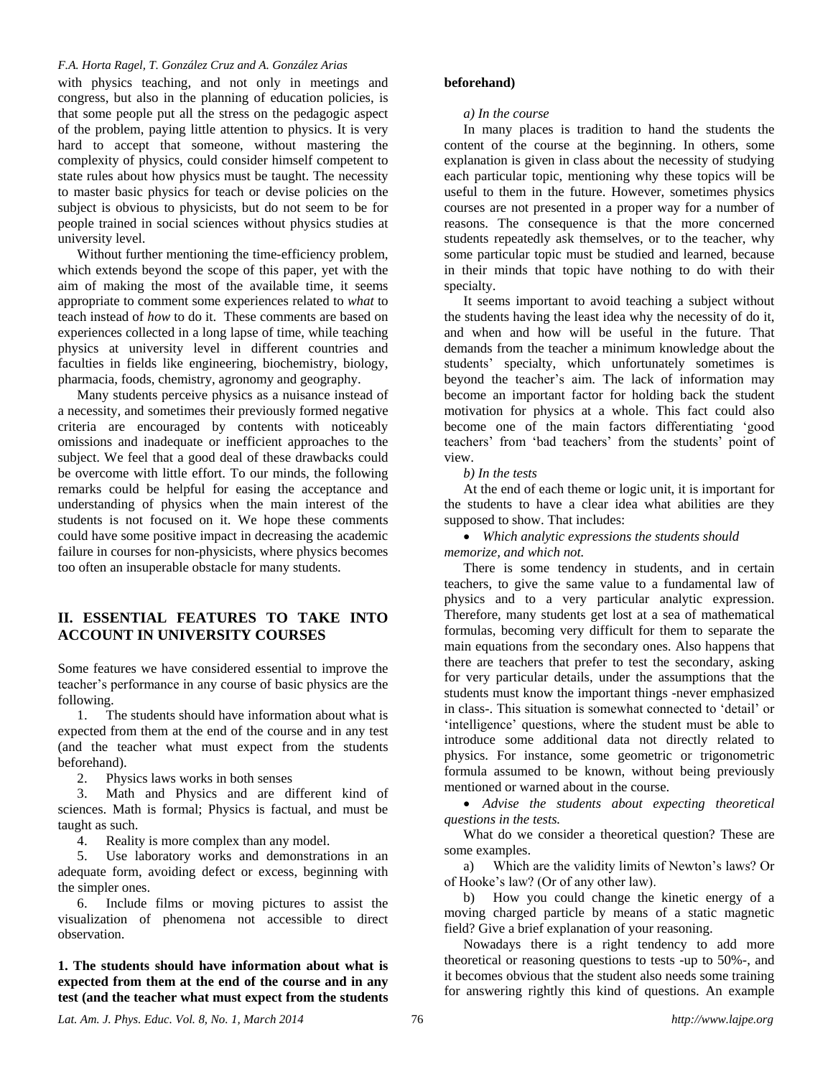#### *F.A. Horta Ragel, T. González Cruz and A. González Arias*

with physics teaching, and not only in meetings and congress, but also in the planning of education policies, is that some people put all the stress on the pedagogic aspect of the problem, paying little attention to physics. It is very hard to accept that someone, without mastering the complexity of physics, could consider himself competent to state rules about how physics must be taught. The necessity to master basic physics for teach or devise policies on the subject is obvious to physicists, but do not seem to be for people trained in social sciences without physics studies at university level.

Without further mentioning the time-efficiency problem, which extends beyond the scope of this paper, yet with the aim of making the most of the available time, it seems appropriate to comment some experiences related to *what* to teach instead of *how* to do it. These comments are based on experiences collected in a long lapse of time, while teaching physics at university level in different countries and faculties in fields like engineering, biochemistry, biology, pharmacia, foods, chemistry, agronomy and geography.

Many students perceive physics as a nuisance instead of a necessity, and sometimes their previously formed negative criteria are encouraged by contents with noticeably omissions and inadequate or inefficient approaches to the subject. We feel that a good deal of these drawbacks could be overcome with little effort. To our minds, the following remarks could be helpful for easing the acceptance and understanding of physics when the main interest of the students is not focused on it. We hope these comments could have some positive impact in decreasing the academic failure in courses for non-physicists, where physics becomes too often an insuperable obstacle for many students.

# **II. ESSENTIAL FEATURES TO TAKE INTO ACCOUNT IN UNIVERSITY COURSES**

Some features we have considered essential to improve the teacher's performance in any course of basic physics are the following.

1. The students should have information about what is expected from them at the end of the course and in any test (and the teacher what must expect from the students beforehand).

2. Physics laws works in both senses

3. Math and Physics and are different kind of sciences. Math is formal; Physics is factual, and must be taught as such.

4. Reality is more complex than any model.

5. Use laboratory works and demonstrations in an adequate form, avoiding defect or excess, beginning with the simpler ones.

6. Include films or moving pictures to assist the visualization of phenomena not accessible to direct observation.

**1. The students should have information about what is expected from them at the end of the course and in any test (and the teacher what must expect from the students** 

#### **beforehand)**

*a) In the course*

In many places is tradition to hand the students the content of the course at the beginning. In others, some explanation is given in class about the necessity of studying each particular topic, mentioning why these topics will be useful to them in the future. However, sometimes physics courses are not presented in a proper way for a number of reasons. The consequence is that the more concerned students repeatedly ask themselves, or to the teacher, why some particular topic must be studied and learned, because in their minds that topic have nothing to do with their specialty.

It seems important to avoid teaching a subject without the students having the least idea why the necessity of do it, and when and how will be useful in the future. That demands from the teacher a minimum knowledge about the students' specialty, which unfortunately sometimes is beyond the teacher's aim. The lack of information may become an important factor for holding back the student motivation for physics at a whole. This fact could also become one of the main factors differentiating 'good teachers' from 'bad teachers' from the students' point of view.

*b) In the tests*

At the end of each theme or logic unit, it is important for the students to have a clear idea what abilities are they supposed to show. That includes:

 *Which analytic expressions the students should memorize, and which not.* 

There is some tendency in students, and in certain teachers, to give the same value to a fundamental law of physics and to a very particular analytic expression. Therefore, many students get lost at a sea of mathematical formulas, becoming very difficult for them to separate the main equations from the secondary ones. Also happens that there are teachers that prefer to test the secondary, asking for very particular details, under the assumptions that the students must know the important things -never emphasized in class-. This situation is somewhat connected to 'detail' or 'intelligence' questions, where the student must be able to introduce some additional data not directly related to physics. For instance, some geometric or trigonometric formula assumed to be known, without being previously mentioned or warned about in the course.

 *Advise the students about expecting theoretical questions in the tests.*

What do we consider a theoretical question? These are some examples.

a) Which are the validity limits of Newton's laws? Or of Hooke's law? (Or of any other law).

b) How you could change the kinetic energy of a moving charged particle by means of a static magnetic field? Give a brief explanation of your reasoning.

Nowadays there is a right tendency to add more theoretical or reasoning questions to tests -up to 50%-, and it becomes obvious that the student also needs some training for answering rightly this kind of questions. An example

*Lat. Am. J. Phys. Educ. Vol. 8, No. 1, March 2014* 76 *http://www.lajpe.org*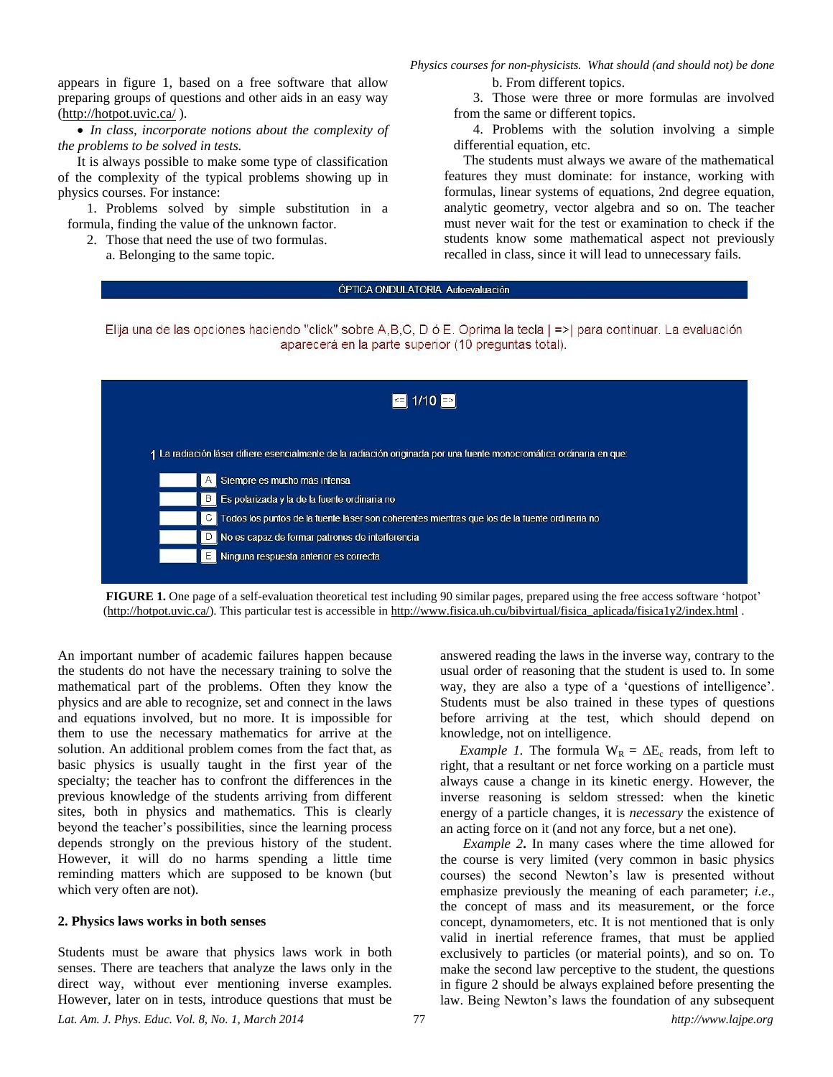appears in figure 1, based on a free software that allow preparing groups of questions and other aids in an easy way [\(http://hotpot.uvic.ca/](http://hotpot.uvic.ca/) ).

 *In class, incorporate notions about the complexity of the problems to be solved in tests.*

It is always possible to make some type of classification of the complexity of the typical problems showing up in physics courses. For instance:

1. Problems solved by simple substitution in a formula, finding the value of the unknown factor.

2. Those that need the use of two formulas.

a. Belonging to the same topic.

*Physics courses for non-physicists. What should (and should not) be done*

b. From different topics.

3. Those were three or more formulas are involved from the same or different topics.

4. Problems with the solution involving a simple differential equation, etc.

The students must always we aware of the mathematical features they must dominate: for instance, working with formulas, linear systems of equations, 2nd degree equation, analytic geometry, vector algebra and so on. The teacher must never wait for the test or examination to check if the students know some mathematical aspect not previously recalled in class, since it will lead to unnecessary fails.

### ÓPTICA ONDULATORIA, Autoevaluación

Elija una de las opciones haciendo "click" sobre A,B,C, D ó E. Oprima la tecla | =>| para continuar. La evaluación aparecerá en la parte superior (10 preguntas total).



**FIGURE 1.** One page of a self-evaluation theoretical test including 90 similar pages, prepared using the free access software 'hotpot' [\(http://hotpot.uvic.ca/\)](http://hotpot.uvic.ca/). This particular test is accessible i[n http://www.fisica.uh.cu/bibvirtual/fisica\\_aplicada/fisica1y2/index.html](http://www.fisica.uh.cu/bibvirtual/fisica_aplicada/fisica1y2/index.html) .

An important number of academic failures happen because the students do not have the necessary training to solve the mathematical part of the problems. Often they know the physics and are able to recognize, set and connect in the laws and equations involved, but no more. It is impossible for them to use the necessary mathematics for arrive at the solution. An additional problem comes from the fact that, as basic physics is usually taught in the first year of the specialty; the teacher has to confront the differences in the previous knowledge of the students arriving from different sites, both in physics and mathematics. This is clearly beyond the teacher's possibilities, since the learning process depends strongly on the previous history of the student. However, it will do no harms spending a little time reminding matters which are supposed to be known (but which very often are not).

#### **2. Physics laws works in both senses**

Students must be aware that physics laws work in both senses. There are teachers that analyze the laws only in the direct way, without ever mentioning inverse examples. However, later on in tests, introduce questions that must be

answered reading the laws in the inverse way, contrary to the usual order of reasoning that the student is used to. In some way, they are also a type of a 'questions of intelligence'. Students must be also trained in these types of questions before arriving at the test, which should depend on knowledge, not on intelligence.

*Example 1.* The formula  $W_R = \Delta E_c$  reads, from left to right, that a resultant or net force working on a particle must always cause a change in its kinetic energy. However, the inverse reasoning is seldom stressed: when the kinetic energy of a particle changes, it is *necessary* the existence of an acting force on it (and not any force, but a net one).

*Example 2***.** In many cases where the time allowed for the course is very limited (very common in basic physics courses) the second Newton's law is presented without emphasize previously the meaning of each parameter; *i.e*., the concept of mass and its measurement, or the force concept, dynamometers, etc. It is not mentioned that is only valid in inertial reference frames, that must be applied exclusively to particles (or material points), and so on. To make the second law perceptive to the student, the questions in figure 2 should be always explained before presenting the law. Being Newton's laws the foundation of any subsequent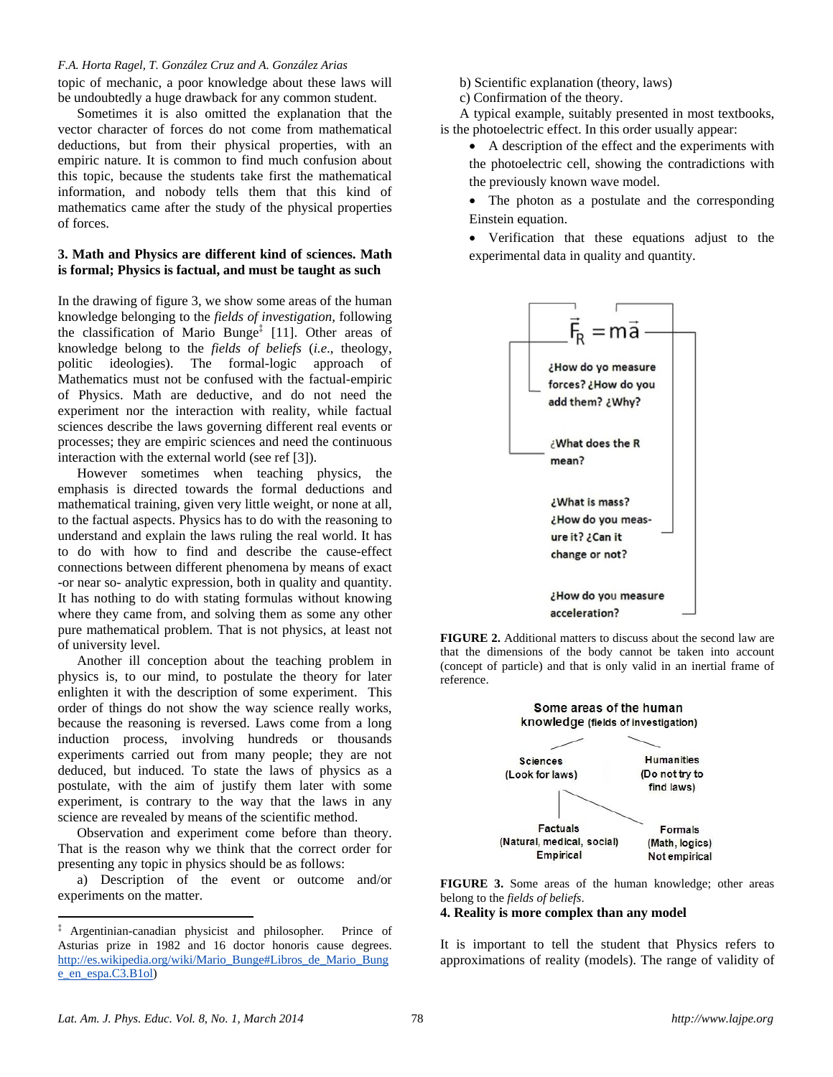#### *F.A. Horta Ragel, T. González Cruz and A. González Arias*

topic of mechanic, a poor knowledge about these laws will be undoubtedly a huge drawback for any common student.

Sometimes it is also omitted the explanation that the vector character of forces do not come from mathematical deductions, but from their physical properties, with an empiric nature. It is common to find much confusion about this topic, because the students take first the mathematical information, and nobody tells them that this kind of mathematics came after the study of the physical properties of forces.

### **3. Math and Physics are different kind of sciences. Math is formal; Physics is factual, and must be taught as such**

In the drawing of figure 3, we show some areas of the human knowledge belonging to the *fields of investigation,* following the classification of Mario Bunge‡ [11]. Other areas of knowledge belong to the *fields of beliefs* (*i.e*., theology, politic ideologies). The formal-logic approach of Mathematics must not be confused with the factual-empiric of Physics. Math are deductive, and do not need the experiment nor the interaction with reality, while factual sciences describe the laws governing different real events or processes; they are empiric sciences and need the continuous interaction with the external world (see ref [3]).

However sometimes when teaching physics, the emphasis is directed towards the formal deductions and mathematical training, given very little weight, or none at all, to the factual aspects. Physics has to do with the reasoning to understand and explain the laws ruling the real world. It has to do with how to find and describe the cause-effect connections between different phenomena by means of exact -or near so- analytic expression, both in quality and quantity. It has nothing to do with stating formulas without knowing where they came from, and solving them as some any other pure mathematical problem. That is not physics, at least not of university level.

Another ill conception about the teaching problem in physics is, to our mind, to postulate the theory for later enlighten it with the description of some experiment. This order of things do not show the way science really works, because the reasoning is reversed. Laws come from a long induction process, involving hundreds or thousands experiments carried out from many people; they are not deduced, but induced. To state the laws of physics as a postulate, with the aim of justify them later with some experiment, is contrary to the way that the laws in any science are revealed by means of the scientific method.

Observation and experiment come before than theory. That is the reason why we think that the correct order for presenting any topic in physics should be as follows:

a) Description of the event or outcome and/or experiments on the matter.

b) Scientific explanation (theory, laws)

c) Confirmation of the theory.

A typical example, suitably presented in most textbooks, is the photoelectric effect. In this order usually appear:

- A description of the effect and the experiments with the photoelectric cell, showing the contradictions with the previously known wave model.
- The photon as a postulate and the corresponding Einstein equation.
- Verification that these equations adjust to the experimental data in quality and quantity.







**FIGURE 3.** Some areas of the human knowledge; other areas belong to the *fields of beliefs*.

**4. Reality is more complex than any model**

It is important to tell the student that Physics refers to approximations of reality (models). The range of validity of

 $\overline{a}$ 

<sup>‡</sup> Argentinian-canadian physicist and philosopher. Prince of Asturias prize in 1982 and 16 doctor honoris cause degrees. [http://es.wikipedia.org/wiki/Mario\\_Bunge#Libros\\_de\\_Mario\\_Bung](http://es.wikipedia.org/wiki/Mario_Bunge#Libros_de_Mario_Bunge_en_espa.C3.B1ol) [e\\_en\\_espa.C3.B1ol\)](http://es.wikipedia.org/wiki/Mario_Bunge#Libros_de_Mario_Bunge_en_espa.C3.B1ol)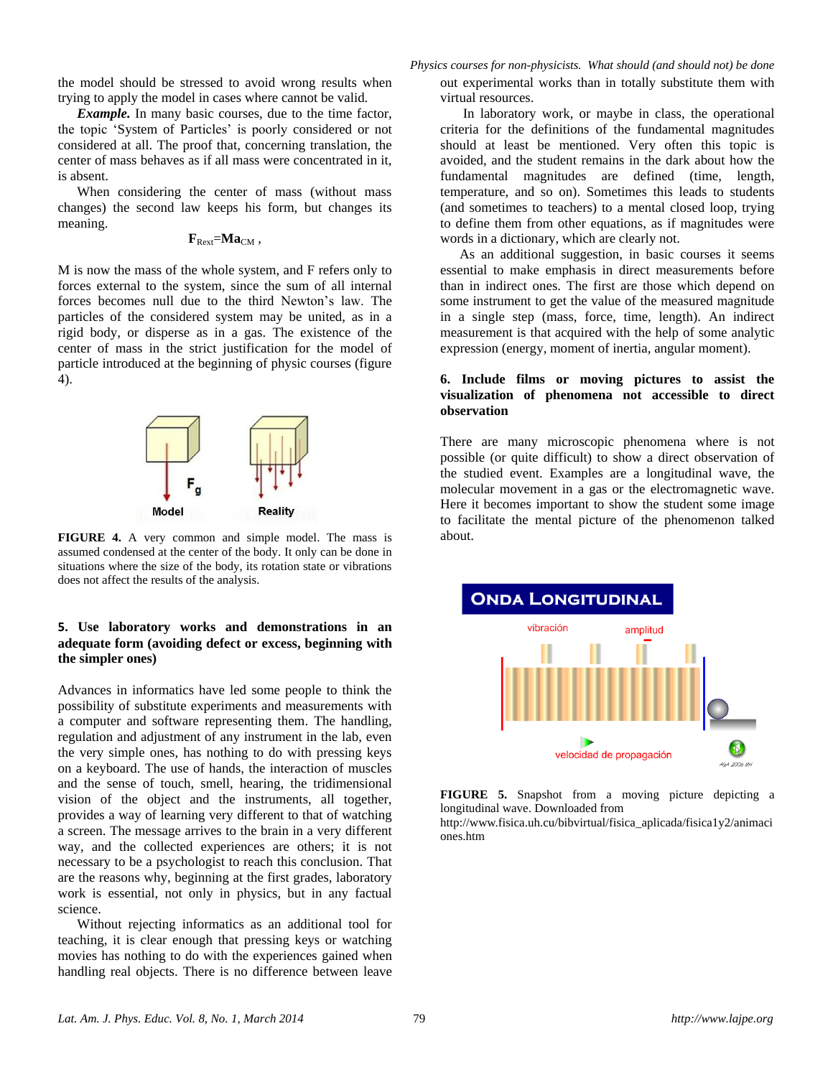the model should be stressed to avoid wrong results when trying to apply the model in cases where cannot be valid.

*Example.* In many basic courses, due to the time factor, the topic 'System of Particles' is poorly considered or not considered at all. The proof that, concerning translation, the center of mass behaves as if all mass were concentrated in it, is absent.

When considering the center of mass (without mass changes) the second law keeps his form, but changes its meaning.

### $\mathbf{F}_{\text{Rext}} = \mathbf{M} \mathbf{a}_{\text{CM}}$

M is now the mass of the whole system, and F refers only to forces external to the system, since the sum of all internal forces becomes null due to the third Newton's law. The particles of the considered system may be united, as in a rigid body, or disperse as in a gas. The existence of the center of mass in the strict justification for the model of particle introduced at the beginning of physic courses (figure 4).



**FIGURE 4.** A very common and simple model. The mass is assumed condensed at the center of the body. It only can be done in situations where the size of the body, its rotation state or vibrations does not affect the results of the analysis.

#### **5. Use laboratory works and demonstrations in an adequate form (avoiding defect or excess, beginning with the simpler ones)**

Advances in informatics have led some people to think the possibility of substitute experiments and measurements with a computer and software representing them. The handling, regulation and adjustment of any instrument in the lab, even the very simple ones, has nothing to do with pressing keys on a keyboard. The use of hands, the interaction of muscles and the sense of touch, smell, hearing, the tridimensional vision of the object and the instruments, all together, provides a way of learning very different to that of watching a screen. The message arrives to the brain in a very different way, and the collected experiences are others; it is not necessary to be a psychologist to reach this conclusion. That are the reasons why, beginning at the first grades, laboratory work is essential, not only in physics, but in any factual science.

Without rejecting informatics as an additional tool for teaching, it is clear enough that pressing keys or watching movies has nothing to do with the experiences gained when handling real objects. There is no difference between leave

*Physics courses for non-physicists. What should (and should not) be done* out experimental works than in totally substitute them with virtual resources.

In laboratory work, or maybe in class, the operational criteria for the definitions of the fundamental magnitudes should at least be mentioned. Very often this topic is avoided, and the student remains in the dark about how the fundamental magnitudes are defined (time, length, temperature, and so on). Sometimes this leads to students (and sometimes to teachers) to a mental closed loop, trying to define them from other equations, as if magnitudes were words in a dictionary, which are clearly not.

As an additional suggestion, in basic courses it seems essential to make emphasis in direct measurements before than in indirect ones. The first are those which depend on some instrument to get the value of the measured magnitude in a single step (mass, force, time, length). An indirect measurement is that acquired with the help of some analytic expression (energy, moment of inertia, angular moment).

#### **6. Include films or moving pictures to assist the visualization of phenomena not accessible to direct observation**

There are many microscopic phenomena where is not possible (or quite difficult) to show a direct observation of the studied event. Examples are a longitudinal wave, the molecular movement in a gas or the electromagnetic wave. Here it becomes important to show the student some image to facilitate the mental picture of the phenomenon talked about.



**FIGURE 5.** Snapshot from a moving picture depicting a longitudinal wave. Downloaded from

[http://www.fisica.uh.cu/bibvirtual/fisica\\_aplicada/fisica1y2/animaci](http://www.fisica.uh.cu/bibvirtual/fisica_aplicada/fisica1y2/interactivas1/ondalongitudinal/longitudinal.html) [ones.htm](http://www.fisica.uh.cu/bibvirtual/fisica_aplicada/fisica1y2/interactivas1/ondalongitudinal/longitudinal.html)